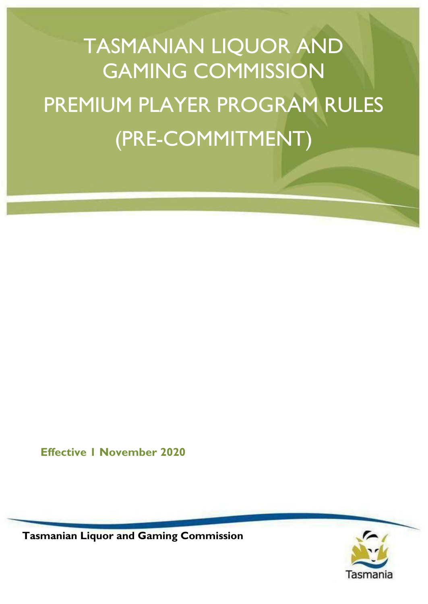# TASMANIAN LIQUOR AND GAMING COMMISSION PREMIUM PLAYER PROGRAM RULES (PRE-COMMITMENT)

**Effective 1 November 2020**

Tasmania

**Tasmanian Liquor and Gaming Commission**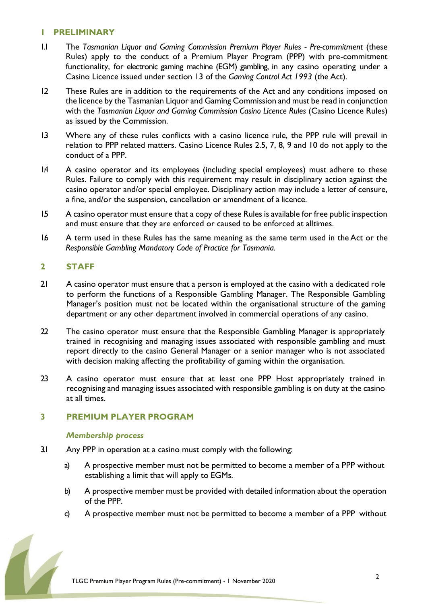#### **1 PRELIMINARY**

- 1.1 The *Tasmanian Liquor and Gaming Commission Premium Player Rules - Pre-commitment* (these Rules) apply to the conduct of a Premium Player Program (PPP) with pre-commitment functionality, for electronic gaming machine (EGM) gambling, in any casino operating under a Casino Licence issued under section 13 of the *Gaming Control Act 1993* (the Act).
- 1.2 These Rules are in addition to the requirements of the Act and any conditions imposed on the licence by the Tasmanian Liquor and Gaming Commission and must be read in conjunction with the *Tasmanian Liquor and Gaming Commission Casino Licence Rules* (Casino Licence Rules) as issued by the Commission.
- 1.3 Where any of these rules conflicts with a casino licence rule, the PPP rule will prevail in relation to PPP related matters. Casino Licence Rules 2.5, 7, 8, 9 and 10 do not apply to the conduct of a PPP.
- 1.4 A casino operator and its employees (including special employees) must adhere to these Rules. Failure to comply with this requirement may result in disciplinary action against the casino operator and/or special employee. Disciplinary action may include a letter of censure, a fine, and/or the suspension, cancellation or amendment of a licence.
- 1.5 A casino operator must ensure that a copy of these Rules is available for free public inspection and must ensure that they are enforced or caused to be enforced at alltimes.
- 1.6 A term used in these Rules has the same meaning as the same term used in the Act or the *Responsible Gambling Mandatory Code of Practice for Tasmania.*

## **2 STAFF**

- 2.1 A casino operator must ensure that a person is employed at the casino with a dedicated role to perform the functions of a Responsible Gambling Manager. The Responsible Gambling Manager's position must not be located within the organisational structure of the gaming department or any other department involved in commercial operations of any casino.
- 22 The casino operator must ensure that the Responsible Gambling Manager is appropriately trained in recognising and managing issues associated with responsible gambling and must report directly to the casino General Manager or a senior manager who is not associated with decision making affecting the profitability of gaming within the organisation.
- 23 A casino operator must ensure that at least one PPP Host appropriately trained in recognising and managing issues associated with responsible gambling is on duty at the casino at all times.

## **3 PREMIUM PLAYER PROGRAM**

#### *Membership process*

- 3.1 Any PPP in operation at a casino must comply with the following:
	- a) A prospective member must not be permitted to become a member of a PPP without establishing a limit that will apply to EGMs.
	- b) A prospective member must be provided with detailed information about the operation of the PPP.
	- c) A prospective member must not be permitted to become a member of a PPP without

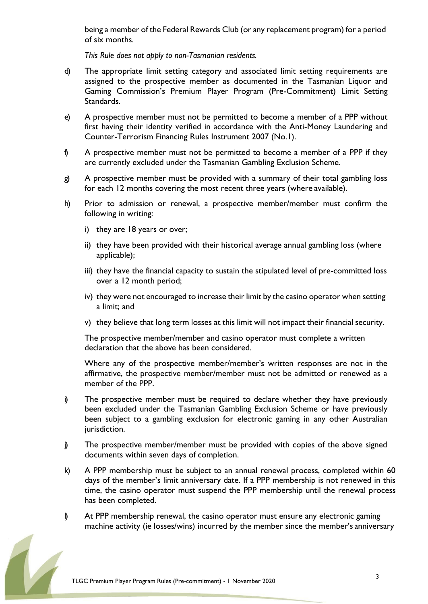being a member of the Federal Rewards Club (or any replacement program) for a period of six months.

*This Rule does not apply to non-Tasmanian residents.*

- d) The appropriate limit setting category and associated limit setting requirements are assigned to the prospective member as documented in the Tasmanian Liquor and Gaming Commission's Premium Player Program (Pre-Commitment) Limit Setting Standards.
- e) A prospective member must not be permitted to become a member of a PPP without first having their identity verified in accordance with the Anti-Money Laundering and Counter-Terrorism Financing Rules Instrument 2007 (No.1).
- f) A prospective member must not be permitted to become a member of a PPP if they are currently excluded under the Tasmanian Gambling Exclusion Scheme.
- g) A prospective member must be provided with a summary of their total gambling loss for each 12 months covering the most recent three years (where available).
- h) Prior to admission or renewal, a prospective member/member must confirm the following in writing:
	- i) they are 18 years or over;
	- ii) they have been provided with their historical average annual gambling loss (where applicable);
	- iii) they have the financial capacity to sustain the stipulated level of pre-committed loss over a 12 month period;
	- iv) they were not encouraged to increase their limit by the casino operator when setting a limit; and
	- v) they believe that long term losses at this limit will not impact their financial security.

The prospective member/member and casino operator must complete a written declaration that the above has been considered.

Where any of the prospective member/member's written responses are not in the affirmative, the prospective member/member must not be admitted or renewed as a member of the PPP.

- i) The prospective member must be required to declare whether they have previously been excluded under the Tasmanian Gambling Exclusion Scheme or have previously been subject to a gambling exclusion for electronic gaming in any other Australian jurisdiction.
- j) The prospective member/member must be provided with copies of the above signed documents within seven days of completion.
- k) A PPP membership must be subject to an annual renewal process, completed within 60 days of the member's limit anniversary date. If a PPP membership is not renewed in this time, the casino operator must suspend the PPP membership until the renewal process has been completed.
- l) At PPP membership renewal, the casino operator must ensure any electronic gaming machine activity (ie losses/wins) incurred by the member since the member's anniversary

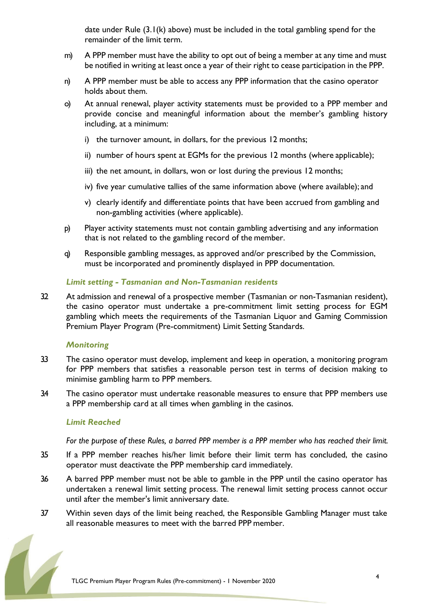date under Rule  $(3.1(k)$  above) must be included in the total gambling spend for the remainder of the limit term.

- m) A PPP member must have the ability to opt out of being a member at any time and must be notified in writing at least once a year of their right to cease participation in the PPP.
- n) A PPP member must be able to access any PPP information that the casino operator holds about them.
- o) At annual renewal, player activity statements must be provided to a PPP member and provide concise and meaningful information about the member's gambling history including, at a minimum:
	- i) the turnover amount, in dollars, for the previous 12 months;
	- ii) number of hours spent at EGMs for the previous 12 months (where applicable);
	- iii) the net amount, in dollars, won or lost during the previous 12 months;
	- iv) five year cumulative tallies of the same information above (where available); and
	- v) clearly identify and differentiate points that have been accrued from gambling and non-gambling activities (where applicable).
- p) Player activity statements must not contain gambling advertising and any information that is not related to the gambling record of the member.
- q) Responsible gambling messages, as approved and/or prescribed by the Commission, must be incorporated and prominently displayed in PPP documentation.

### *Limit setting - Tasmanian and Non-Tasmanian residents*

32 At admission and renewal of a prospective member (Tasmanian or non-Tasmanian resident), the casino operator must undertake a pre-commitment limit setting process for EGM gambling which meets the requirements of the Tasmanian Liquor and Gaming Commission Premium Player Program (Pre-commitment) Limit Setting Standards.

#### *Monitoring*

- 33 The casino operator must develop, implement and keep in operation, a monitoring program for PPP members that satisfies a reasonable person test in terms of decision making to minimise gambling harm to PPP members.
- 3.4 The casino operator must undertake reasonable measures to ensure that PPP members use a PPP membership card at all times when gambling in the casinos.

#### *Limit Reached*

*For the purpose of these Rules, a barred PPP member is a PPP member who has reached their limit.*

- 3.5 If a PPP member reaches his/her limit before their limit term has concluded, the casino operator must deactivate the PPP membership card immediately.
- 36 A barred PPP member must not be able to gamble in the PPP until the casino operator has undertaken a renewal limit setting process. The renewal limit setting process cannot occur until after the member's limit anniversary date.
- 3.7 Within seven days of the limit being reached, the Responsible Gambling Manager must take all reasonable measures to meet with the barred PPP member.

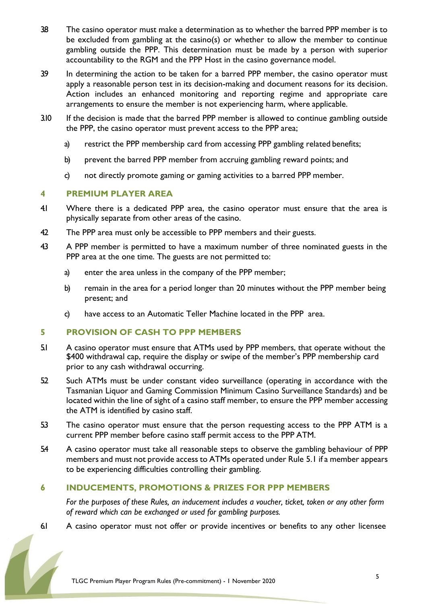- 38 The casino operator must make a determination as to whether the barred PPP member is to be excluded from gambling at the casino(s) or whether to allow the member to continue gambling outside the PPP. This determination must be made by a person with superior accountability to the RGM and the PPP Host in the casino governance model.
- 3.9 In determining the action to be taken for a barred PPP member, the casino operator must apply a reasonable person test in its decision-making and document reasons for its decision. Action includes an enhanced monitoring and reporting regime and appropriate care arrangements to ensure the member is not experiencing harm, where applicable.
- 3.10 If the decision is made that the barred PPP member is allowed to continue gambling outside the PPP, the casino operator must prevent access to the PPP area;
	- a) restrict the PPP membership card from accessing PPP gambling related benefits;
	- b) prevent the barred PPP member from accruing gambling reward points; and
	- c) not directly promote gaming or gaming activities to a barred PPP member.

## **4 PREMIUM PLAYER AREA**

- 4.1 Where there is a dedicated PPP area, the casino operator must ensure that the area is physically separate from other areas of the casino.
- 42 The PPP area must only be accessible to PPP members and their guests.
- 43 A PPP member is permitted to have a maximum number of three nominated guests in the PPP area at the one time. The guests are not permitted to:
	- a) enter the area unless in the company of the PPP member;
	- b) remain in the area for a period longer than 20 minutes without the PPP member being present; and
	- c) have access to an Automatic Teller Machine located in the PPP area.

## **5 PROVISION OF CASH TO PPP MEMBERS**

- 5.1 A casino operator must ensure that ATMs used by PPP members, that operate without the \$400 withdrawal cap, require the display or swipe of the member's PPP membership card prior to any cash withdrawal occurring.
- 52 Such ATMs must be under constant video surveillance (operating in accordance with the Tasmanian Liquor and Gaming Commission Minimum Casino Surveillance Standards) and be located within the line of sight of a casino staff member, to ensure the PPP member accessing the ATM is identified by casino staff.
- 5.3 The casino operator must ensure that the person requesting access to the PPP ATM is a current PPP member before casino staff permit access to the PPP ATM.
- 5.4 A casino operator must take all reasonable steps to observe the gambling behaviour of PPP members and must not provide access to ATMs operated under Rule 5.1 if a member appears to be experiencing difficulties controlling their gambling.

## **6 INDUCEMENTS, PROMOTIONS & PRIZES FOR PPP MEMBERS**

*For the purposes of these Rules, an inducement includes a voucher, ticket, token or any other form of reward which can be exchanged or used for gambling purposes.*

6.1 A casino operator must not offer or provide incentives or benefits to any other licensee

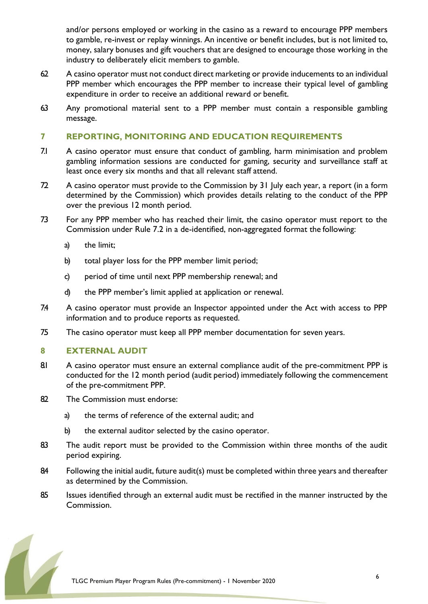and/or persons employed or working in the casino as a reward to encourage PPP members to gamble, re-invest or replay winnings. An incentive or benefit includes, but is not limited to, money, salary bonuses and gift vouchers that are designed to encourage those working in the industry to deliberately elicit members to gamble.

- 62 A casino operator must not conduct direct marketing or provide inducements to an individual PPP member which encourages the PPP member to increase their typical level of gambling expenditure in order to receive an additional reward or benefit.
- 6.3 Any promotional material sent to a PPP member must contain a responsible gambling message.

## **7 REPORTING, MONITORING AND EDUCATION REQUIREMENTS**

- 7.1 A casino operator must ensure that conduct of gambling, harm minimisation and problem gambling information sessions are conducted for gaming, security and surveillance staff at least once every six months and that all relevant staff attend.
- 72 A casino operator must provide to the Commission by 31 July each year, a report (in a form determined by the Commission) which provides details relating to the conduct of the PPP over the previous 12 month period.
- 7.3 For any PPP member who has reached their limit, the casino operator must report to the Commission under Rule 7.2 in a de-identified, non-aggregated format the following:
	- a) the limit;
	- b) total player loss for the PPP member limit period;
	- c) period of time until next PPP membership renewal; and
	- d) the PPP member's limit applied at application or renewal.
- 7.4 A casino operator must provide an Inspector appointed under the Act with access to PPP information and to produce reports as requested.
- 7.5 The casino operator must keep all PPP member documentation for seven years.

#### **8 EXTERNAL AUDIT**

- 8.1 A casino operator must ensure an external compliance audit of the pre-commitment PPP is conducted for the 12 month period (audit period) immediately following the commencement of the pre-commitment PPP.
- 82 The Commission must endorse:
	- a) the terms of reference of the external audit; and
	- b) the external auditor selected by the casino operator.
- 83 The audit report must be provided to the Commission within three months of the audit period expiring.
- 84 Following the initial audit, future audit(s) must be completed within three years and thereafter as determined by the Commission.
- 85 Issues identified through an external audit must be rectified in the manner instructed by the Commission.